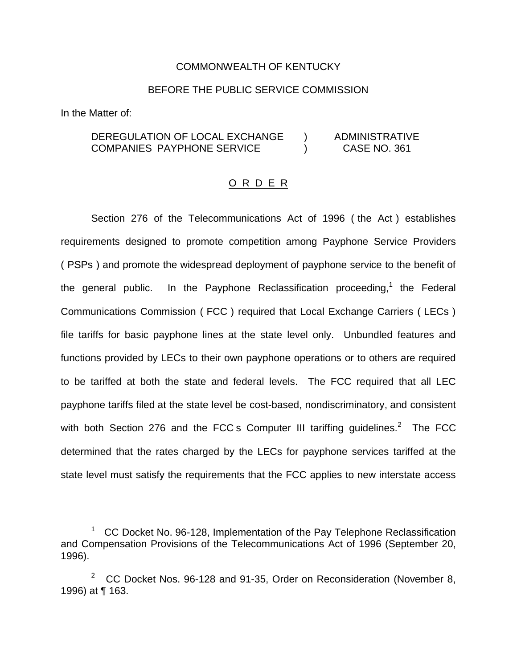## COMMONWEALTH OF KENTUCKY

## BEFORE THE PUBLIC SERVICE COMMISSION

In the Matter of:

## DEREGULATION OF LOCAL EXCHANGE ) ADMINISTRATIVE COMPANIES PAYPHONE SERVICE ) CASE NO. 361

#### O R D E R

Section 276 of the Telecommunications Act of 1996 ( the Act ) establishes requirements designed to promote competition among Payphone Service Providers ( PSPs ) and promote the widespread deployment of payphone service to the benefit of the general public. In the Payphone Reclassification proceeding,<sup>1</sup> the Federal Communications Commission ( FCC ) required that Local Exchange Carriers ( LECs ) file tariffs for basic payphone lines at the state level only. Unbundled features and functions provided by LECs to their own payphone operations or to others are required to be tariffed at both the state and federal levels. The FCC required that all LEC payphone tariffs filed at the state level be cost-based, nondiscriminatory, and consistent with both Section 276 and the FCC s Computer III tariffing quidelines.<sup>2</sup> The FCC determined that the rates charged by the LECs for payphone services tariffed at the state level must satisfy the requirements that the FCC applies to new interstate access

<sup>&</sup>lt;sup>1</sup> CC Docket No. 96-128, Implementation of the Pay Telephone Reclassification and Compensation Provisions of the Telecommunications Act of 1996 (September 20, 1996).

<sup>&</sup>lt;sup>2</sup> CC Docket Nos. 96-128 and 91-35, Order on Reconsideration (November 8, 1996) at ¶ 163.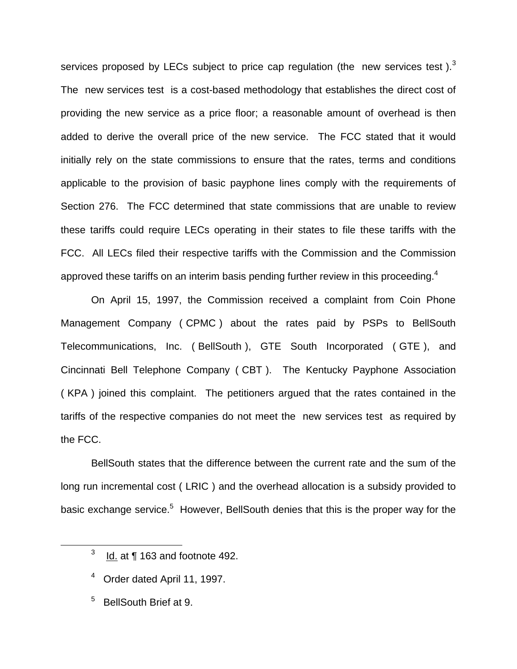services proposed by LECs subject to price cap regulation (the new services test).<sup>3</sup> The new services test is a cost-based methodology that establishes the direct cost of providing the new service as a price floor; a reasonable amount of overhead is then added to derive the overall price of the new service. The FCC stated that it would initially rely on the state commissions to ensure that the rates, terms and conditions applicable to the provision of basic payphone lines comply with the requirements of Section 276. The FCC determined that state commissions that are unable to review these tariffs could require LECs operating in their states to file these tariffs with the FCC. All LECs filed their respective tariffs with the Commission and the Commission approved these tariffs on an interim basis pending further review in this proceeding. $4$ 

On April 15, 1997, the Commission received a complaint from Coin Phone Management Company ( CPMC ) about the rates paid by PSPs to BellSouth Telecommunications, Inc. ( BellSouth ), GTE South Incorporated ( GTE ), and Cincinnati Bell Telephone Company ( CBT ). The Kentucky Payphone Association ( KPA ) joined this complaint. The petitioners argued that the rates contained in the tariffs of the respective companies do not meet the new services test as required by the FCC.

BellSouth states that the difference between the current rate and the sum of the long run incremental cost ( LRIC ) and the overhead allocation is a subsidy provided to basic exchange service.<sup>5</sup> However, BellSouth denies that this is the proper way for the

 $3$  Id. at  $\P$  163 and footnote 492.

<sup>4</sup> Order dated April 11, 1997.

<sup>5</sup> BellSouth Brief at 9.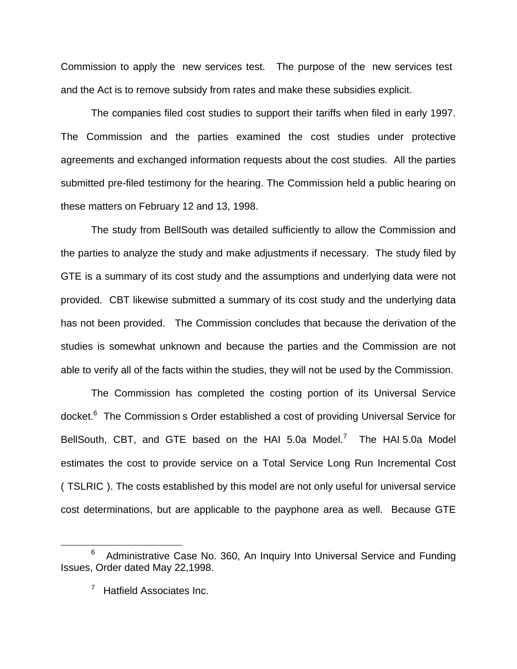Commission to apply the new services test. The purpose of the new services test and the Act is to remove subsidy from rates and make these subsidies explicit.

The companies filed cost studies to support their tariffs when filed in early 1997. The Commission and the parties examined the cost studies under protective agreements and exchanged information requests about the cost studies. All the parties submitted pre-filed testimony for the hearing. The Commission held a public hearing on these matters on February 12 and 13, 1998.

The study from BellSouth was detailed sufficiently to allow the Commission and the parties to analyze the study and make adjustments if necessary. The study filed by GTE is a summary of its cost study and the assumptions and underlying data were not provided. CBT likewise submitted a summary of its cost study and the underlying data has not been provided. The Commission concludes that because the derivation of the studies is somewhat unknown and because the parties and the Commission are not able to verify all of the facts within the studies, they will not be used by the Commission.

The Commission has completed the costing portion of its Universal Service docket.6 The Commission s Order established a cost of providing Universal Service for BellSouth, CBT, and GTE based on the HAI 5.0a Model.<sup>7</sup> The HAI 5.0a Model estimates the cost to provide service on a Total Service Long Run Incremental Cost ( TSLRIC ). The costs established by this model are not only useful for universal service cost determinations, but are applicable to the payphone area as well. Because GTE

<sup>6</sup> Administrative Case No. 360, An Inquiry Into Universal Service and Funding Issues, Order dated May 22,1998.

**Hatfield Associates Inc.**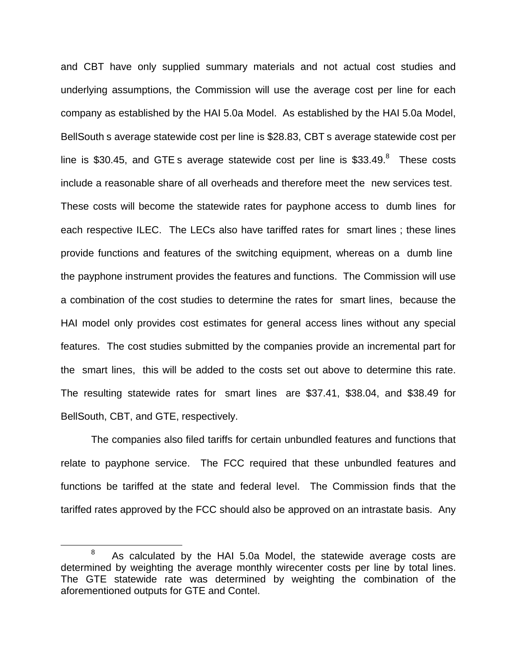and CBT have only supplied summary materials and not actual cost studies and underlying assumptions, the Commission will use the average cost per line for each company as established by the HAI 5.0a Model. As established by the HAI 5.0a Model, BellSouth s average statewide cost per line is \$28.83, CBT s average statewide cost per line is \$30.45, and GTE s average statewide cost per line is  $$33.49$ .<sup>8</sup> These costs include a reasonable share of all overheads and therefore meet the new services test. These costs will become the statewide rates for payphone access to dumb lines for each respective ILEC. The LECs also have tariffed rates for smart lines ; these lines provide functions and features of the switching equipment, whereas on a dumb line the payphone instrument provides the features and functions. The Commission will use a combination of the cost studies to determine the rates for smart lines, because the HAI model only provides cost estimates for general access lines without any special features. The cost studies submitted by the companies provide an incremental part for the smart lines, this will be added to the costs set out above to determine this rate. The resulting statewide rates for smart lines are \$37.41, \$38.04, and \$38.49 for BellSouth, CBT, and GTE, respectively.

The companies also filed tariffs for certain unbundled features and functions that relate to payphone service. The FCC required that these unbundled features and functions be tariffed at the state and federal level. The Commission finds that the tariffed rates approved by the FCC should also be approved on an intrastate basis. Any

 $8$  As calculated by the HAI 5.0a Model, the statewide average costs are determined by weighting the average monthly wirecenter costs per line by total lines. The GTE statewide rate was determined by weighting the combination of the aforementioned outputs for GTE and Contel.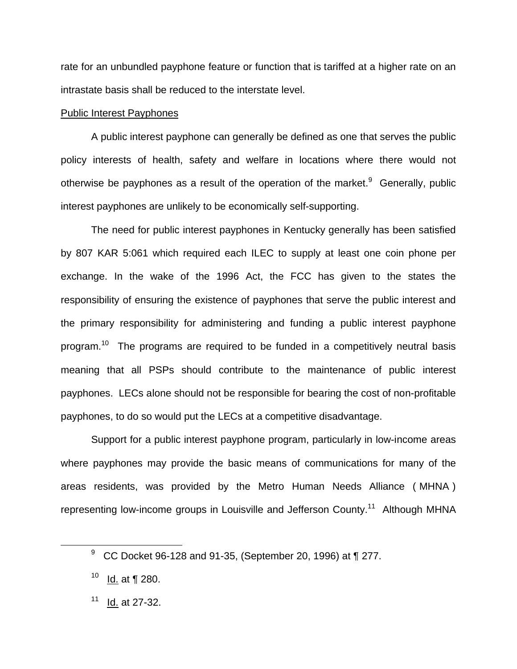rate for an unbundled payphone feature or function that is tariffed at a higher rate on an intrastate basis shall be reduced to the interstate level.

#### Public Interest Payphones

A public interest payphone can generally be defined as one that serves the public policy interests of health, safety and welfare in locations where there would not otherwise be payphones as a result of the operation of the market. $9$  Generally, public interest payphones are unlikely to be economically self-supporting.

The need for public interest payphones in Kentucky generally has been satisfied by 807 KAR 5:061 which required each ILEC to supply at least one coin phone per exchange. In the wake of the 1996 Act, the FCC has given to the states the responsibility of ensuring the existence of payphones that serve the public interest and the primary responsibility for administering and funding a public interest payphone program.10 The programs are required to be funded in a competitively neutral basis meaning that all PSPs should contribute to the maintenance of public interest payphones. LECs alone should not be responsible for bearing the cost of non-profitable payphones, to do so would put the LECs at a competitive disadvantage.

Support for a public interest payphone program, particularly in low-income areas where payphones may provide the basic means of communications for many of the areas residents, was provided by the Metro Human Needs Alliance ( MHNA ) representing low-income groups in Louisville and Jefferson County.<sup>11</sup> Although MHNA

<sup>9</sup> CC Docket 96-128 and 91-35, (September 20, 1996) at ¶ 277.

 $10$  Id. at ¶ 280.

 $11$  Id. at 27-32.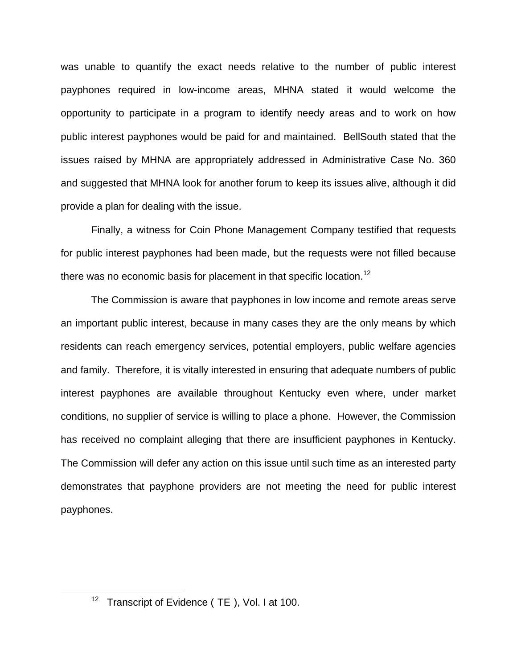was unable to quantify the exact needs relative to the number of public interest payphones required in low-income areas, MHNA stated it would welcome the opportunity to participate in a program to identify needy areas and to work on how public interest payphones would be paid for and maintained. BellSouth stated that the issues raised by MHNA are appropriately addressed in Administrative Case No. 360 and suggested that MHNA look for another forum to keep its issues alive, although it did provide a plan for dealing with the issue.

Finally, a witness for Coin Phone Management Company testified that requests for public interest payphones had been made, but the requests were not filled because there was no economic basis for placement in that specific location.<sup>12</sup>

The Commission is aware that payphones in low income and remote areas serve an important public interest, because in many cases they are the only means by which residents can reach emergency services, potential employers, public welfare agencies and family. Therefore, it is vitally interested in ensuring that adequate numbers of public interest payphones are available throughout Kentucky even where, under market conditions, no supplier of service is willing to place a phone. However, the Commission has received no complaint alleging that there are insufficient payphones in Kentucky. The Commission will defer any action on this issue until such time as an interested party demonstrates that payphone providers are not meeting the need for public interest payphones.

 $12$  Transcript of Evidence (TE), Vol. I at 100.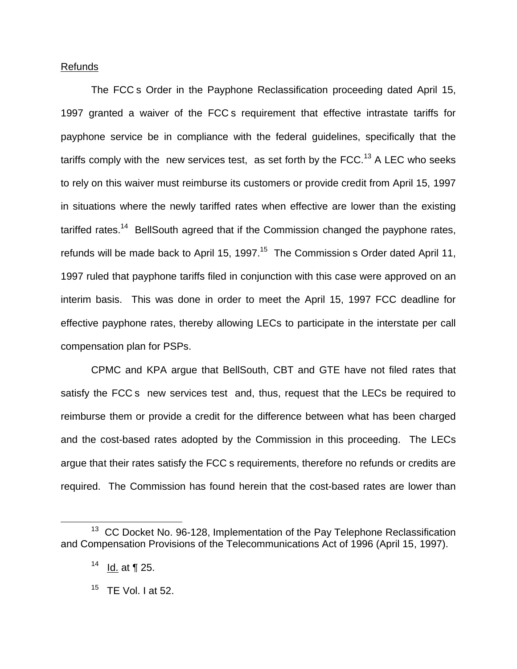## Refunds

The FCC s Order in the Payphone Reclassification proceeding dated April 15, 1997 granted a waiver of the FCC s requirement that effective intrastate tariffs for payphone service be in compliance with the federal guidelines, specifically that the tariffs comply with the new services test, as set forth by the FCC.<sup>13</sup> A LEC who seeks to rely on this waiver must reimburse its customers or provide credit from April 15, 1997 in situations where the newly tariffed rates when effective are lower than the existing tariffed rates.<sup>14</sup> BellSouth agreed that if the Commission changed the payphone rates, refunds will be made back to April 15, 1997.<sup>15</sup> The Commission s Order dated April 11, 1997 ruled that payphone tariffs filed in conjunction with this case were approved on an interim basis. This was done in order to meet the April 15, 1997 FCC deadline for effective payphone rates, thereby allowing LECs to participate in the interstate per call compensation plan for PSPs.

CPMC and KPA argue that BellSouth, CBT and GTE have not filed rates that satisfy the FCC s new services test and, thus, request that the LECs be required to reimburse them or provide a credit for the difference between what has been charged and the cost-based rates adopted by the Commission in this proceeding. The LECs argue that their rates satisfy the FCC s requirements, therefore no refunds or credits are required. The Commission has found herein that the cost-based rates are lower than

<sup>&</sup>lt;sup>13</sup> CC Docket No. 96-128, Implementation of the Pay Telephone Reclassification and Compensation Provisions of the Telecommunications Act of 1996 (April 15, 1997).

 $14$  Id. at ¶ 25.

 $15$  TE Vol. I at 52.